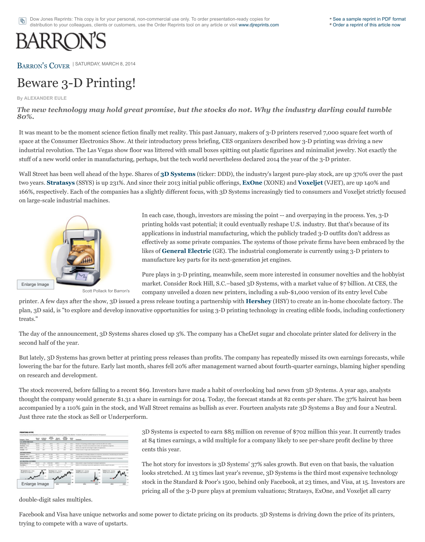

Scott Pollack for Barron's

In each case, though, investors are missing the process. printing holds vast potential; it could eventually applications in industrial manufacturing, wh effectively as some private companies. The sy likes of **General Electric** (GE). The industrial congress of **General Electric** (GE). The industrial manufacture key parts for its next-generation

Pure plays in 3-D printing, meanwhile, seem market. Consider Rock Hill, S.C.–based 3D S company unveiled a dozen new printers, incl

printer. A few days after the show, 3D issued a press release touting a partnership with **Her** plan, 3D said, is "to explore and develop innovative opportunities for using 3-D printing technology in creating technology in creating technology in cancer for using  $\alpha$ -D printing technology in confection. treats."

The day of the announcement, 3D Systems shares closed up 3%. The company has a ChefJet second half of the year.

But lately, 3D Systems has grown better at printing press releases than profits. The company lowering the bar for the future. Early last month, shares fell 20% after management warned on research and development.

The stock [recovered, b](http://online.barrons.com/public/quotes/main.html?type=djn&symbol=SSYS)efore falling to a recent \$69. Investors have made a habit of ov[erlooking](http://online.barrons.com/public/quotes/main.html?type=djn&symbol=XONE) thought the company would generate \$1.31 a share in earnings for 2014. Today, the forecast accompanied by a 110% gain in the stock, and Wall Street remains as bullish as ever. Fourteen analysts rate 3D Systems at  $\alpha$ Just three rate the stock as Sell or Underperform.

|                                                                                                       | ≔                   |             |                         |                 | e                                       | $\frac{1}{2}$  |                                                                                                            |
|-------------------------------------------------------------------------------------------------------|---------------------|-------------|-------------------------|-----------------|-----------------------------------------|----------------|------------------------------------------------------------------------------------------------------------|
| S.A. LAPIDE PUBLICATE                                                                                 |                     |             |                         |                 |                                         |                |                                                                                                            |
|                                                                                                       | <b>British May</b>  | $\cdots$    | $-$                     | $\cdots$        | $\overline{a}$                          | $\cdots$       | Forces in 1-1; prolog, products steps in cost lots \$1,300 to \$1 colors.                                  |
|                                                                                                       | 14.15               | m           | <b>KOL</b>              | XX              | ٠                                       | SLF            | Will rings of consultat and unfinished models, and registed to malmatic                                    |
| $-1$                                                                                                  | $-0.04$             |             | vice.                   | $-1$            |                                         | ora.c          | Antara cas regel der inviccings for rights and applications.                                               |
| <b>WARD</b>                                                                                           | ALC US              |             | ×                       | $\sim$          |                                         | <b>ALL I</b>   | South formed or map areas informate primary                                                                |
|                                                                                                       |                     |             |                         |                 |                                         |                |                                                                                                            |
|                                                                                                       | <b>Billion Card</b> | $rac{1}{2}$ | <b>ALL LIGHT</b>        | $-11$           | ALC NO                                  | $-0.4$         | centre rates of its basep solvens to constraint anticolors, reachaining and stud offerior                  |
| <b>STAR</b>                                                                                           | 18.92               | ÷           | 3,1793                  | <b>Jackson</b>  | ۰                                       | 11.8           | Tele respects 1/3 percent to Protective Arthurs.                                                           |
|                                                                                                       | $-4.4$              |             | A-4-Mar                 | $\overline{a}$  | $\equiv$                                | $-11$          | and to complete solel design collectes, along with holistics. Non-sustinuous of Contestines.               |
| ART BELLEVING JUSTINIERS                                                                              |                     |             |                         |                 |                                         |                |                                                                                                            |
| <b>Group of Houston, 1997</b>                                                                         | \$18.10             | $-1$        | <b>ALCOHOL: ALCOHOL</b> | <b>STATE OF</b> |                                         | $\overline{a}$ | liab poses in any 1-3 primy to smight agriculture.                                                         |
| <b>Ford Motor 1</b><br>These cases of the data of the All-This present the data was a sping of a disk |                     |             | --                      |                 | Undivided for first and stakes him. ATA | $-1$           | Ballah an 3-8 percent of a determined against over colorady using the test parties<br>Anniso Goodway (Army |
| <b>B</b> - decay are Fallancik AL                                                                     |                     |             |                         |                 |                                         |                | a chean an Uilamin A<br><b>American Allegerik</b>                                                          |
|                                                                                                       |                     |             |                         |                 |                                         | ٠              |                                                                                                            |
| Enlarge Image                                                                                         |                     |             |                         |                 |                                         |                | <b>BRAND</b>                                                                                               |

3D Systems is expected to earn \$85 million on at 84 times earnings, a wild multiple for a company cents this year.

The hot story for investors is 3D Systems' 37. looks stretched. At 13 times last year's revenue, stock in the Standard & Poor's 1500, behind pricing all of the  $3-D$  pure plays at premium

double-digit sales multiples.

Facebook and Visa have unique networks and some power to dictate pricing on its products. trying to compete with a wave of upstarts.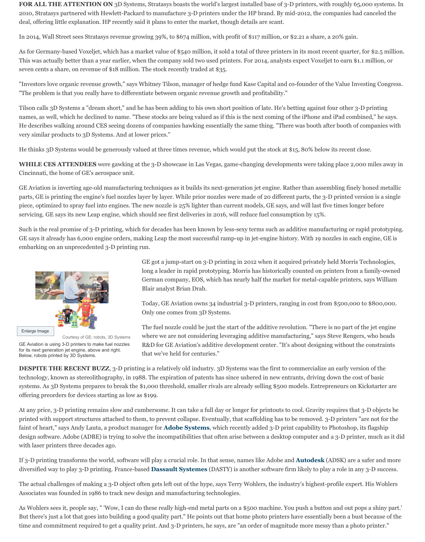piece, optimized to spray fuel into engines. The new nozzle is 25% lighter than current models, GE says, and will last five times longer before servicing. GE says its new Leap engine, which should see first deliveries in 2016, will reduce

Such is the real promise of 3-D printing, which for decades has been known by less-sexy terms GE says it already has 6,000 engine orders, making Leap the most successful ramp-up in jet embarking on an unprecedented 3-D printing run.



Enlarge Image

Courtesy of GE; robots, 3D Systems

GE Aviation is using 3-D printers to make fuel nozzles for its next generation jet engine, above and right. Below, robots printed by 3D Systems.

GE got a jump-start on  $3-D$  printing in 2012 long a leader in rapid prototyping. Morris has German company, EOS, which has nearly half the market for metal-capable prints. Blair analyst Brian Drab.

Today, GE Aviation owns 34 industrial 3-D p Only one comes from 3D Systems.

The fuel nozzle could be just the start of the addition. where we are not considering leveraging add R&D for GE Aviation's additive development that we've held for centuries."

**DESPITE THE RECENT BUZZ**, 3-D printing is a relatively old industry. 3D Systems was technology, known as stereolithography, in 1988. The expiration of patents has since ushere systems. As 3D Systems prepares to break the \$1,000 threshold, smaller rivals are already selling \$500 models. Entrepreneurs on Kickstarter areas on Kickstarter areas on Kickstarter areas on Kickstarter areas on Kickstarte offering preorders for devices starting as low as \$199.

At any price, 3-D printing remains slow and cumbersome. It can take a full day or longer for printed with support structures attached to them, to prevent collapse. Eventually, that scaffore faint of heart," says Andy Lauta, a product manager for **Adobe Systems**, which recently ad design software. Adobe (ADBE) is trying to solve the incompatibilities that often arise betwe with laser printers three decades ago.

If 3-D printing transforms the world, software will play a crucial role. In that sense, names li diversified way to play 3-D printing. France-based **Dassault Systemes** (DASTY) is another

The actual challenges of making a 3-D object often gets left out of the hype, says Terry Wohlers Associates was founded in 1986 to track new design and manufacturing technologies.

As Wohlers sees it, people say, " 'Wow, I can do these really high-end metal parts on a \$500 But there's just a lot that goes into building a good quality part." He points out that home ph time and commitment required to get a quality print. And 3-D printers, he says, are "an order